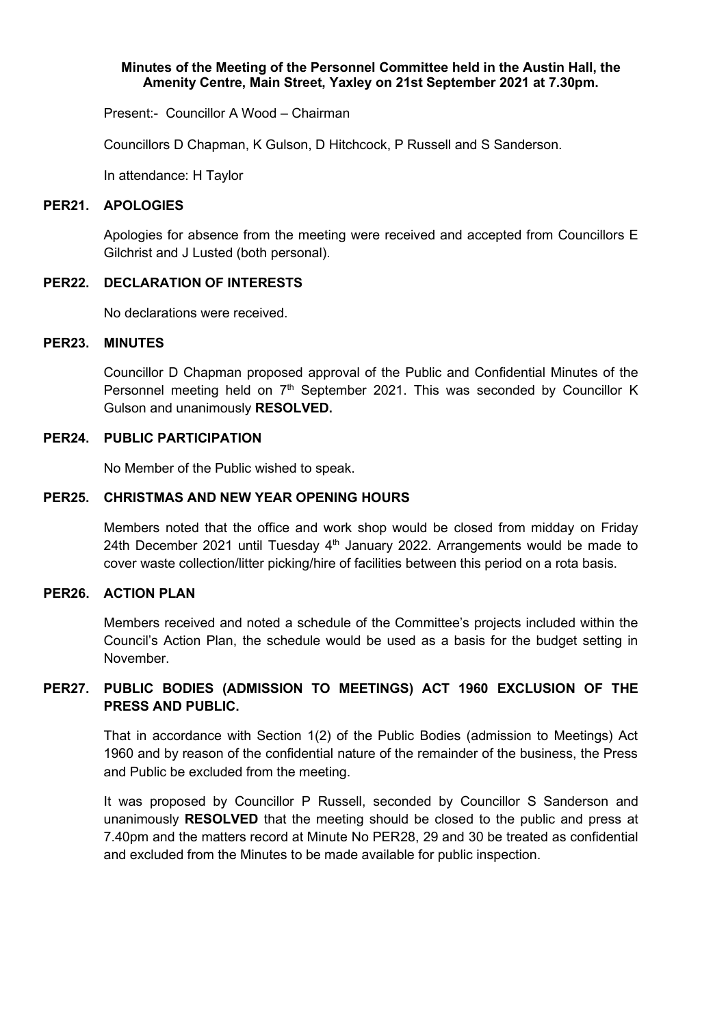### **Minutes of the Meeting of the Personnel Committee held in the Austin Hall, the Amenity Centre, Main Street, Yaxley on 21st September 2021 at 7.30pm.**

Present:- Councillor A Wood – Chairman

Councillors D Chapman, K Gulson, D Hitchcock, P Russell and S Sanderson.

In attendance: H Taylor

### **PER21. APOLOGIES**

Apologies for absence from the meeting were received and accepted from Councillors E Gilchrist and J Lusted (both personal).

### **PER22. DECLARATION OF INTERESTS**

No declarations were received.

### **PER23. MINUTES**

Councillor D Chapman proposed approval of the Public and Confidential Minutes of the Personnel meeting held on  $7<sup>th</sup>$  September 2021. This was seconded by Councillor K Gulson and unanimously **RESOLVED.**

### **PER24. PUBLIC PARTICIPATION**

No Member of the Public wished to speak.

### **PER25. CHRISTMAS AND NEW YEAR OPENING HOURS**

Members noted that the office and work shop would be closed from midday on Friday 24th December 2021 until Tuesday 4<sup>th</sup> January 2022. Arrangements would be made to cover waste collection/litter picking/hire of facilities between this period on a rota basis.

### **PER26. ACTION PLAN**

Members received and noted a schedule of the Committee's projects included within the Council's Action Plan, the schedule would be used as a basis for the budget setting in November.

# **PER27. PUBLIC BODIES (ADMISSION TO MEETINGS) ACT 1960 EXCLUSION OF THE PRESS AND PUBLIC.**

That in accordance with Section 1(2) of the Public Bodies (admission to Meetings) Act 1960 and by reason of the confidential nature of the remainder of the business, the Press and Public be excluded from the meeting.

It was proposed by Councillor P Russell, seconded by Councillor S Sanderson and unanimously **RESOLVED** that the meeting should be closed to the public and press at 7.40pm and the matters record at Minute No PER28, 29 and 30 be treated as confidential and excluded from the Minutes to be made available for public inspection.